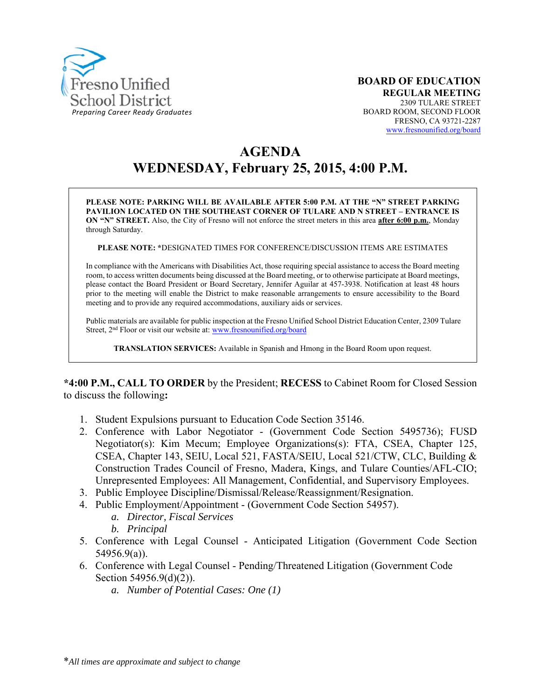

# **AGENDA WEDNESDAY, February 25, 2015, 4:00 P.M.**

**PLEASE NOTE: PARKING WILL BE AVAILABLE AFTER 5:00 P.M. AT THE "N" STREET PARKING PAVILION LOCATED ON THE SOUTHEAST CORNER OF TULARE AND N STREET – ENTRANCE IS ON "N" STREET.** Also, the City of Fresno will not enforce the street meters in this area **after 6:00 p.m.**, Monday through Saturday.

**PLEASE NOTE: \***DESIGNATED TIMES FOR CONFERENCE/DISCUSSION ITEMS ARE ESTIMATES

In compliance with the Americans with Disabilities Act, those requiring special assistance to access the Board meeting room, to access written documents being discussed at the Board meeting, or to otherwise participate at Board meetings, please contact the Board President or Board Secretary, Jennifer Aguilar at 457-3938. Notification at least 48 hours prior to the meeting will enable the District to make reasonable arrangements to ensure accessibility to the Board meeting and to provide any required accommodations, auxiliary aids or services.

Public materials are available for public inspection at the Fresno Unified School District Education Center, 2309 Tulare Street, 2<sup>nd</sup> Floor or visit our website at: www.fresnounified.org/board

**TRANSLATION SERVICES:** Available in Spanish and Hmong in the Board Room upon request.

**\*4:00 P.M., CALL TO ORDER** by the President; **RECESS** to Cabinet Room for Closed Session to discuss the following**:** 

- 1. Student Expulsions pursuant to Education Code Section 35146.
- 2. Conference with Labor Negotiator (Government Code Section 5495736); FUSD Negotiator(s): Kim Mecum; Employee Organizations(s): FTA, CSEA, Chapter 125, CSEA, Chapter 143, SEIU, Local 521, FASTA/SEIU, Local 521/CTW, CLC, Building & Construction Trades Council of Fresno, Madera, Kings, and Tulare Counties/AFL-CIO; Unrepresented Employees: All Management, Confidential, and Supervisory Employees.
- 3. Public Employee Discipline/Dismissal/Release/Reassignment/Resignation.
- 4. Public Employment/Appointment (Government Code Section 54957).
	- *a. Director, Fiscal Services*
	- *b. Principal*
- 5. Conference with Legal Counsel Anticipated Litigation (Government Code Section 54956.9(a)).
- 6. Conference with Legal Counsel Pending/Threatened Litigation (Government Code Section 54956.9(d)(2)).
	- *a. Number of Potential Cases: One (1)*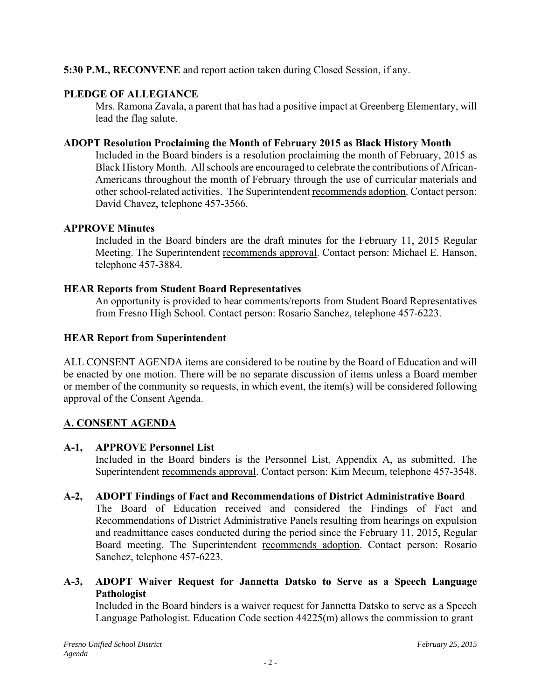## **5:30 P.M., RECONVENE** and report action taken during Closed Session, if any.

## **PLEDGE OF ALLEGIANCE**

Mrs. Ramona Zavala, a parent that has had a positive impact at Greenberg Elementary, will lead the flag salute.

#### **ADOPT Resolution Proclaiming the Month of February 2015 as Black History Month**

Included in the Board binders is a resolution proclaiming the month of February, 2015 as Black History Month. All schools are encouraged to celebrate the contributions of African-Americans throughout the month of February through the use of curricular materials and other school-related activities. The Superintendent recommends adoption. Contact person: David Chavez, telephone 457-3566.

#### **APPROVE Minutes**

Included in the Board binders are the draft minutes for the February 11, 2015 Regular Meeting. The Superintendent recommends approval. Contact person: Michael E. Hanson, telephone 457-3884.

#### **HEAR Reports from Student Board Representatives**

An opportunity is provided to hear comments/reports from Student Board Representatives from Fresno High School. Contact person: Rosario Sanchez, telephone 457-6223.

#### **HEAR Report from Superintendent**

ALL CONSENT AGENDA items are considered to be routine by the Board of Education and will be enacted by one motion. There will be no separate discussion of items unless a Board member or member of the community so requests, in which event, the item(s) will be considered following approval of the Consent Agenda.

#### **A. CONSENT AGENDA**

#### **A-1, APPROVE Personnel List**

Included in the Board binders is the Personnel List, Appendix A, as submitted. The Superintendent recommends approval. Contact person: Kim Mecum, telephone 457-3548.

#### **A-2, ADOPT Findings of Fact and Recommendations of District Administrative Board**

The Board of Education received and considered the Findings of Fact and Recommendations of District Administrative Panels resulting from hearings on expulsion and readmittance cases conducted during the period since the February 11, 2015, Regular Board meeting. The Superintendent recommends adoption. Contact person: Rosario Sanchez, telephone 457-6223.

#### **A-3, ADOPT Waiver Request for Jannetta Datsko to Serve as a Speech Language Pathologist**

Included in the Board binders is a waiver request for Jannetta Datsko to serve as a Speech Language Pathologist. Education Code section 44225(m) allows the commission to grant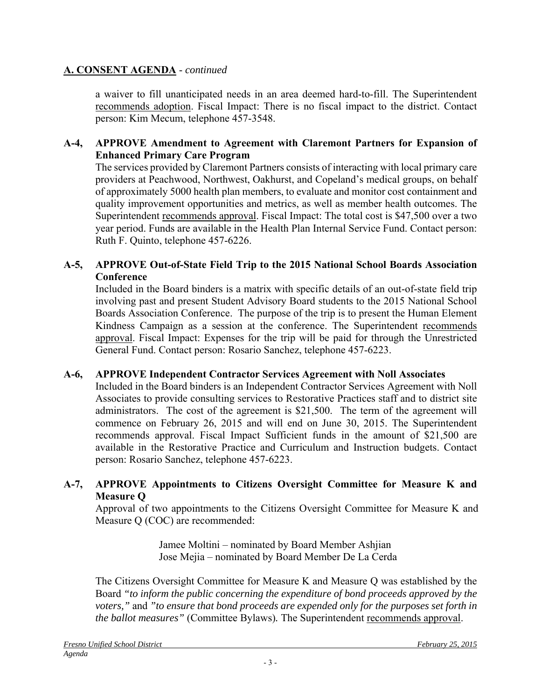#### **A. CONSENT AGENDA** - *continued*

a waiver to fill unanticipated needs in an area deemed hard-to-fill. The Superintendent recommends adoption. Fiscal Impact: There is no fiscal impact to the district. Contact person: Kim Mecum, telephone 457-3548.

#### **A-4, APPROVE Amendment to Agreement with Claremont Partners for Expansion of Enhanced Primary Care Program**

The services provided by Claremont Partners consists of interacting with local primary care providers at Peachwood, Northwest, Oakhurst, and Copeland's medical groups, on behalf of approximately 5000 health plan members, to evaluate and monitor cost containment and quality improvement opportunities and metrics, as well as member health outcomes. The Superintendent recommends approval. Fiscal Impact: The total cost is \$47,500 over a two year period. Funds are available in the Health Plan Internal Service Fund. Contact person: Ruth F. Quinto, telephone 457-6226.

#### **A-5, APPROVE Out-of-State Field Trip to the 2015 National School Boards Association Conference**

Included in the Board binders is a matrix with specific details of an out-of-state field trip involving past and present Student Advisory Board students to the 2015 National School Boards Association Conference. The purpose of the trip is to present the Human Element Kindness Campaign as a session at the conference. The Superintendent recommends approval. Fiscal Impact: Expenses for the trip will be paid for through the Unrestricted General Fund. Contact person: Rosario Sanchez, telephone 457-6223.

#### **A-6, APPROVE Independent Contractor Services Agreement with Noll Associates**

Included in the Board binders is an Independent Contractor Services Agreement with Noll Associates to provide consulting services to Restorative Practices staff and to district site administrators. The cost of the agreement is \$21,500. The term of the agreement will commence on February 26, 2015 and will end on June 30, 2015. The Superintendent recommends approval. Fiscal Impact Sufficient funds in the amount of \$21,500 are available in the Restorative Practice and Curriculum and Instruction budgets. Contact person: Rosario Sanchez, telephone 457-6223.

#### **A-7, APPROVE Appointments to Citizens Oversight Committee for Measure K and Measure Q**

Approval of two appointments to the Citizens Oversight Committee for Measure K and Measure Q (COC) are recommended:

> Jamee Moltini – nominated by Board Member Ashjian Jose Mejia – nominated by Board Member De La Cerda

The Citizens Oversight Committee for Measure K and Measure Q was established by the Board *"to inform the public concerning the expenditure of bond proceeds approved by the voters,"* and *"to ensure that bond proceeds are expended only for the purposes set forth in the ballot measures"* (Committee Bylaws)*.* The Superintendent recommends approval.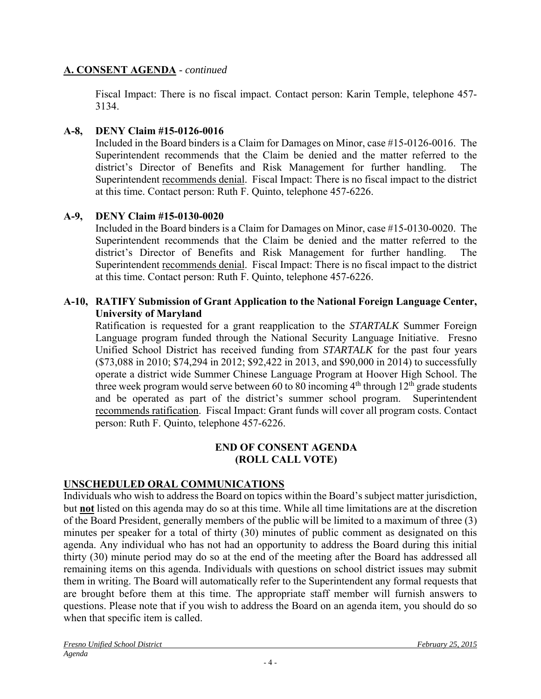#### **A. CONSENT AGENDA** - *continued*

Fiscal Impact: There is no fiscal impact. Contact person: Karin Temple, telephone 457- 3134.

#### **A-8, DENY Claim #15-0126-0016**

Included in the Board binders is a Claim for Damages on Minor, case #15-0126-0016. The Superintendent recommends that the Claim be denied and the matter referred to the district's Director of Benefits and Risk Management for further handling. The Superintendent recommends denial. Fiscal Impact: There is no fiscal impact to the district at this time. Contact person: Ruth F. Quinto, telephone 457-6226.

## **A-9, DENY Claim #15-0130-0020**

Included in the Board binders is a Claim for Damages on Minor, case #15-0130-0020. The Superintendent recommends that the Claim be denied and the matter referred to the district's Director of Benefits and Risk Management for further handling. The Superintendent recommends denial. Fiscal Impact: There is no fiscal impact to the district at this time. Contact person: Ruth F. Quinto, telephone 457-6226.

#### **A-10, RATIFY Submission of Grant Application to the National Foreign Language Center, University of Maryland**

Ratification is requested for a grant reapplication to the *STARTALK* Summer Foreign Language program funded through the National Security Language Initiative. Fresno Unified School District has received funding from *STARTALK* for the past four years (\$73,088 in 2010; \$74,294 in 2012; \$92,422 in 2013, and \$90,000 in 2014) to successfully operate a district wide Summer Chinese Language Program at Hoover High School. The three week program would serve between 60 to 80 incoming  $4<sup>th</sup>$  through  $12<sup>th</sup>$  grade students and be operated as part of the district's summer school program. Superintendent recommends ratification. Fiscal Impact: Grant funds will cover all program costs. Contact person: Ruth F. Quinto, telephone 457-6226.

#### **END OF CONSENT AGENDA (ROLL CALL VOTE)**

# **UNSCHEDULED ORAL COMMUNICATIONS**

Individuals who wish to address the Board on topics within the Board's subject matter jurisdiction, but **not** listed on this agenda may do so at this time. While all time limitations are at the discretion of the Board President, generally members of the public will be limited to a maximum of three (3) minutes per speaker for a total of thirty (30) minutes of public comment as designated on this agenda. Any individual who has not had an opportunity to address the Board during this initial thirty (30) minute period may do so at the end of the meeting after the Board has addressed all remaining items on this agenda. Individuals with questions on school district issues may submit them in writing. The Board will automatically refer to the Superintendent any formal requests that are brought before them at this time. The appropriate staff member will furnish answers to questions. Please note that if you wish to address the Board on an agenda item, you should do so when that specific item is called.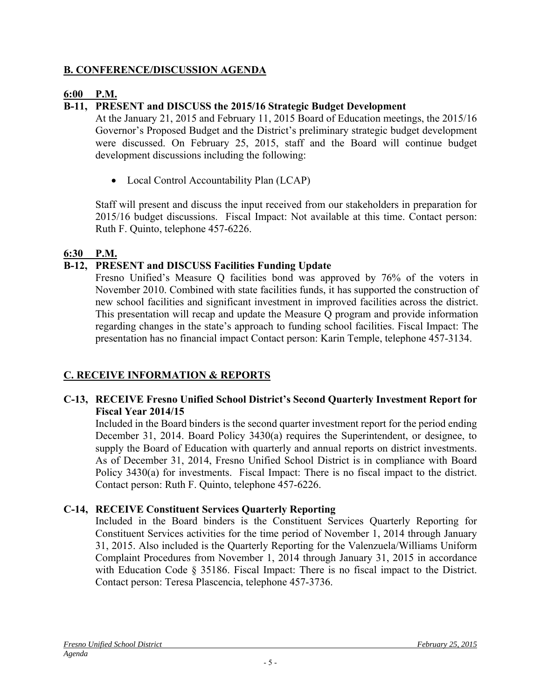### **B. CONFERENCE/DISCUSSION AGENDA**

# **6:00 P.M.**

# **B-11, PRESENT and DISCUSS the 2015/16 Strategic Budget Development**

At the January 21, 2015 and February 11, 2015 Board of Education meetings, the 2015/16 Governor's Proposed Budget and the District's preliminary strategic budget development were discussed. On February 25, 2015, staff and the Board will continue budget development discussions including the following:

• Local Control Accountability Plan (LCAP)

Staff will present and discuss the input received from our stakeholders in preparation for 2015/16 budget discussions. Fiscal Impact: Not available at this time. Contact person: Ruth F. Quinto, telephone 457-6226.

## **6:30 P.M.**

# **B-12, PRESENT and DISCUSS Facilities Funding Update**

Fresno Unified's Measure Q facilities bond was approved by 76% of the voters in November 2010. Combined with state facilities funds, it has supported the construction of new school facilities and significant investment in improved facilities across the district. This presentation will recap and update the Measure Q program and provide information regarding changes in the state's approach to funding school facilities. Fiscal Impact: The presentation has no financial impact Contact person: Karin Temple, telephone 457-3134.

# **C. RECEIVE INFORMATION & REPORTS**

#### **C-13, RECEIVE Fresno Unified School District's Second Quarterly Investment Report for Fiscal Year 2014/15**

Included in the Board binders is the second quarter investment report for the period ending December 31, 2014. Board Policy 3430(a) requires the Superintendent, or designee, to supply the Board of Education with quarterly and annual reports on district investments. As of December 31, 2014, Fresno Unified School District is in compliance with Board Policy 3430(a) for investments. Fiscal Impact: There is no fiscal impact to the district. Contact person: Ruth F. Quinto, telephone 457-6226.

# **C-14, RECEIVE Constituent Services Quarterly Reporting**

Included in the Board binders is the Constituent Services Quarterly Reporting for Constituent Services activities for the time period of November 1, 2014 through January 31, 2015. Also included is the Quarterly Reporting for the Valenzuela/Williams Uniform Complaint Procedures from November 1, 2014 through January 31, 2015 in accordance with Education Code § 35186. Fiscal Impact: There is no fiscal impact to the District. Contact person: Teresa Plascencia, telephone 457-3736.